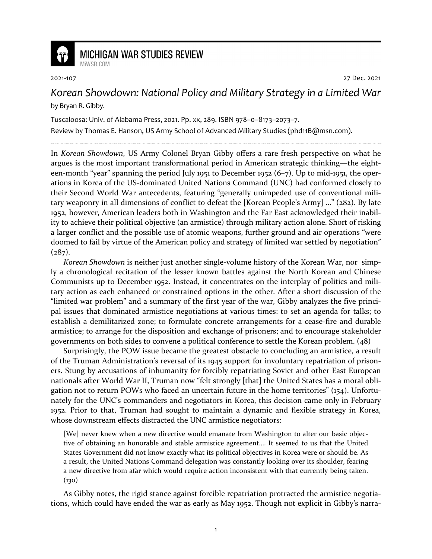

## **MICHIGAN WAR STUDIES REVIEW** MiWSR COM

2021-107 27 Dec. 2021

## *Korean Showdown: National Policy and Military Strategy in a Limited War*  by Bryan R. Gibby.

Tuscaloosa: Univ. of Alabama Press, 2021. Pp. xx, 289. ISBN 978–0–8173–2073–7.

Review by Thomas E. Hanson, US Army School of Advanced Military Studies (phd11B@msn.com).

In *Korean Showdown*, US Army Colonel Bryan Gibby offers a rare fresh perspective on what he argues is the most important transformational period in American strategic thinking—the eighteen-month "year" spanning the period July 1951 to December 1952 (6–7). Up to mid-1951, the operations in Korea of the US-dominated United Nations Command (UNC) had conformed closely to their Second World War antecedents, featuring "generally unimpeded use of conventional military weaponry in all dimensions of conflict to defeat the [Korean People's Army] …" (282). By late 1952, however, American leaders both in Washington and the Far East acknowledged their inability to achieve their political objective (an armistice) through military action alone. Short of risking a larger conflict and the possible use of atomic weapons, further ground and air operations "were doomed to fail by virtue of the American policy and strategy of limited war settled by negotiation"  $(287)$ .

*Korean Showdown* is neither just another single-volume history of the Korean War, nor simply a chronological recitation of the lesser known battles against the North Korean and Chinese Communists up to December 1952. Instead, it concentrates on the interplay of politics and military action as each enhanced or constrained options in the other. After a short discussion of the "limited war problem" and a summary of the first year of the war, Gibby analyzes the five principal issues that dominated armistice negotiations at various times: to set an agenda for talks; to establish a demilitarized zone; to formulate concrete arrangements for a cease-fire and durable armistice; to arrange for the disposition and exchange of prisoners; and to encourage stakeholder governments on both sides to convene a political conference to settle the Korean problem. (48)

Surprisingly, the POW issue became the greatest obstacle to concluding an armistice, a result of the Truman Administration's reversal of its 1945 support for involuntary repatriation of prisoners. Stung by accusations of inhumanity for forcibly repatriating Soviet and other East European nationals after World War II, Truman now "felt strongly [that] the United States has a moral obligation not to return POWs who faced an uncertain future in the home territories" (154). Unfortunately for the UNC's commanders and negotiators in Korea, this decision came only in February 1952. Prior to that, Truman had sought to maintain a dynamic and flexible strategy in Korea, whose downstream effects distracted the UNC armistice negotiators:

[We] never knew when a new directive would emanate from Washington to alter our basic objective of obtaining an honorable and stable armistice agreement…. It seemed to us that the United States Government did not know exactly what its political objectives in Korea were or should be. As a result, the United Nations Command delegation was constantly looking over its shoulder, fearing a new directive from afar which would require action inconsistent with that currently being taken.  $(130)$ 

As Gibby notes, the rigid stance against forcible repatriation protracted the armistice negotiations, which could have ended the war as early as May 1952. Though not explicit in Gibby's narra